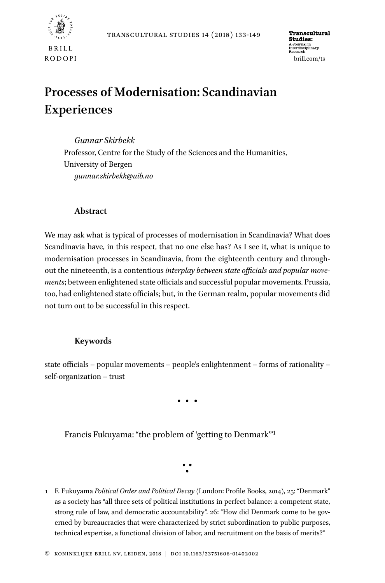

# **Processes of Modernisation: Scandinavian Experiences**

*Gunnar Skirbekk*

Professor, Centre for the Study of the Sciences and the Humanities, University of Bergen *gunnar.skirbekk@uib.no*

## **Abstract**

We may ask what is typical of processes of modernisation in Scandinavia? What does Scandinavia have, in this respect, that no one else has? As I see it, what is unique to modernisation processes in Scandinavia, from the eighteenth century and throughout the nineteenth, is a contentious *interplay between state officials and popular movements*; between enlightened state officials and successful popular movements. Prussia, too, had enlightened state officials; but, in the German realm, popular movements did not turn out to be successful in this respect.

# **Keywords**

state officials – popular movements – people's enlightenment – forms of rationality – self-organization – trust

. . .

Francis Fukuyama: "the problem of 'getting to Denmark'"[1](#page-0-0)

<sup>∵</sup>

<span id="page-0-0"></span><sup>1</sup> F. Fukuyama *Political Order and Political Decay* (London: Profile Books, 2014), 25: "Denmark" as a society has "all three sets of political institutions in perfect balance: a competent state, strong rule of law, and democratic accountability". 26: "How did Denmark come to be governed by bureaucracies that were characterized by strict subordination to public purposes, technical expertise, a functional division of labor, and recruitment on the basis of merits?"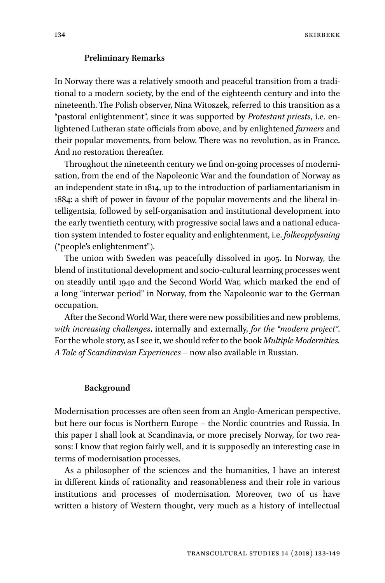**SKIRBEKK** 

#### **Preliminary Remarks**

In Norway there was a relatively smooth and peaceful transition from a traditional to a modern society, by the end of the eighteenth century and into the nineteenth. The Polish observer, Nina Witoszek, referred to this transition as a "pastoral enlightenment", since it was supported by *Protestant priests*, i.e. enlightened Lutheran state officials from above, and by enlightened *farmers* and their popular movements, from below. There was no revolution, as in France. And no restoration thereafter.

Throughout the nineteenth century we find on-going processes of modernisation, from the end of the Napoleonic War and the foundation of Norway as an independent state in 1814, up to the introduction of parliamentarianism in 1884: a shift of power in favour of the popular movements and the liberal intelligentsia, followed by self-organisation and institutional development into the early twentieth century, with progressive social laws and a national education system intended to foster equality and enlightenment, i.e. *folkeopplysning* ("people's enlightenment").

The union with Sweden was peacefully dissolved in 1905. In Norway, the blend of institutional development and socio-cultural learning processes went on steadily until 1940 and the Second World War, which marked the end of a long "interwar period" in Norway, from the Napoleonic war to the German occupation.

After the Second World War, there were new possibilities and new problems, *with increasing challenges*, internally and externally, *for the "modern project"*. For the whole story, as I see it, we should refer to the book *Multiple Modernities. A Tale of Scandinavian Experiences* – now also available in Russian.

#### **Background**

Modernisation processes are often seen from an Anglo-American perspective, but here our focus is Northern Europe – the Nordic countries and Russia. In this paper I shall look at Scandinavia, or more precisely Norway, for two reasons: I know that region fairly well, and it is supposedly an interesting case in terms of modernisation processes.

As a philosopher of the sciences and the humanities, I have an interest in different kinds of rationality and reasonableness and their role in various institutions and processes of modernisation. Moreover, two of us have written a history of Western thought, very much as a history of intellectual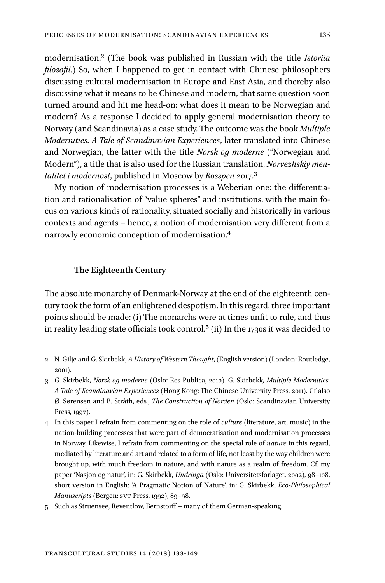modernisation[.2](#page-2-0) (The book was published in Russian with the title *Istoriia filosofii*.) So, when I happened to get in contact with Chinese philosophers discussing cultural modernisation in Europe and East Asia, and thereby also discussing what it means to be Chinese and modern, that same question soon turned around and hit me head-on: what does it mean to be Norwegian and modern? As a response I decided to apply general modernisation theory to Norway (and Scandinavia) as a case study. The outcome was the book *Multiple Modernities. A Tale of Scandinavian Experiences*, later translated into Chinese and Norwegian, the latter with the title *Norsk og moderne* ("Norwegian and Modern"), a title that is also used for the Russian translation, *Norvezhskiy mentalitet i modernost*, published in Moscow by *Rosspen* 2017.[3](#page-2-1)

My notion of modernisation processes is a Weberian one: the differentiation and rationalisation of "value spheres" and institutions, with the main focus on various kinds of rationality, situated socially and historically in various contexts and agents – hence, a notion of modernisation very different from a narrowly economic conception of modernisation.[4](#page-2-2)

## **The Eighteenth Century**

The absolute monarchy of Denmark-Norway at the end of the eighteenth century took the form of an enlightened despotism. In this regard, three important points should be made: (i) The monarchs were at times unfit to rule, and thus in reality leading state officials took control.<sup>5</sup> (ii) In the 1730s it was decided to

<span id="page-2-0"></span><sup>2</sup> N. Gilje and G. Skirbekk, *A History of Western Thought*, (English version) (London: Routledge, 2001).

<span id="page-2-1"></span><sup>3</sup> G. Skirbekk, *Norsk og moderne* (Oslo: Res Publica, 2010). G. Skirbekk*, Multiple Modernities. A Tale of Scandinavian Experiences* (Hong Kong: The Chinese University Press, 2011). Cf also Ø. Sørensen and B. Stråth, eds., *The Construction of Norden* (Oslo: Scandinavian University Press, 1997).

<span id="page-2-2"></span><sup>4</sup> In this paper I refrain from commenting on the role of *culture* (literature, art, music) in the nation-building processes that were part of democratisation and modernisation processes in Norway. Likewise, I refrain from commenting on the special role of *nature* in this regard, mediated by literature and art and related to a form of life, not least by the way children were brought up, with much freedom in nature, and with nature as a realm of freedom. Cf. my paper 'Nasjon og natur', in: G. Skirbekk, *Undringa* (Oslo: Universitetsforlaget, 2002), 98–108, short version in English: 'A Pragmatic Notion of Nature', in: G. Skirbekk, *Eco-Philosophical Manuscripts* (Bergen: sv<sub>T</sub> Press, 1992), 89-98.

<span id="page-2-3"></span><sup>5</sup> Such as Struensee, Reventlow, Bernstorff – many of them German-speaking.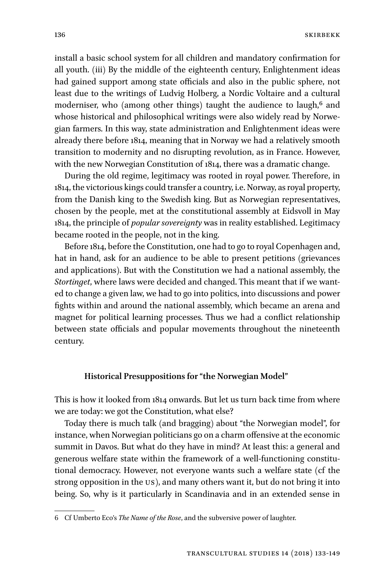install a basic school system for all children and mandatory confirmation for all youth. (iii) By the middle of the eighteenth century, Enlightenment ideas had gained support among state officials and also in the public sphere, not least due to the writings of Ludvig Holberg, a Nordic Voltaire and a cultural moderniser, who (among other things) taught the audience to laugh,<sup>6</sup> and whose historical and philosophical writings were also widely read by Norwegian farmers. In this way, state administration and Enlightenment ideas were already there before 1814, meaning that in Norway we had a relatively smooth transition to modernity and no disrupting revolution, as in France. However, with the new Norwegian Constitution of 1814, there was a dramatic change.

During the old regime, legitimacy was rooted in royal power. Therefore, in 1814, the victorious kings could transfer a country, i.e. Norway, as royal property, from the Danish king to the Swedish king. But as Norwegian representatives, chosen by the people, met at the constitutional assembly at Eidsvoll in May 1814, the principle of *popular sovereignty* was in reality established. Legitimacy became rooted in the people, not in the king.

Before 1814, before the Constitution, one had to go to royal Copenhagen and, hat in hand, ask for an audience to be able to present petitions (grievances and applications). But with the Constitution we had a national assembly, the *Stortinget*, where laws were decided and changed. This meant that if we wanted to change a given law, we had to go into politics, into discussions and power fights within and around the national assembly, which became an arena and magnet for political learning processes. Thus we had a conflict relationship between state officials and popular movements throughout the nineteenth century.

## **Historical Presuppositions for "the Norwegian Model"**

This is how it looked from 1814 onwards. But let us turn back time from where we are today: we got the Constitution, what else?

Today there is much talk (and bragging) about "the Norwegian model", for instance, when Norwegian politicians go on a charm offensive at the economic summit in Davos. But what do they have in mind? At least this: a general and generous welfare state within the framework of a well-functioning constitutional democracy. However, not everyone wants such a welfare state (cf the strong opposition in the US), and many others want it, but do not bring it into being. So, why is it particularly in Scandinavia and in an extended sense in

<span id="page-3-0"></span><sup>6</sup> Cf Umberto Eco's *The Name of the Rose*, and the subversive power of laughter.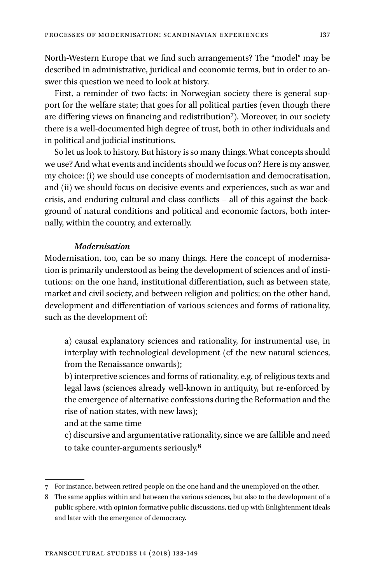North-Western Europe that we find such arrangements? The "model" may be described in administrative, juridical and economic terms, but in order to answer this question we need to look at history.

First, a reminder of two facts: in Norwegian society there is general support for the welfare state; that goes for all political parties (even though there are differing views on financing and redistribution<sup>7</sup>). Moreover, in our society there is a well-documented high degree of trust, both in other individuals and in political and judicial institutions.

So let us look to history. But history is so many things. What concepts should we use? And what events and incidents should we focus on? Here is my answer, my choice: (i) we should use concepts of modernisation and democratisation, and (ii) we should focus on decisive events and experiences, such as war and crisis, and enduring cultural and class conflicts – all of this against the background of natural conditions and political and economic factors, both internally, within the country, and externally.

## *Modernisation*

Modernisation, too, can be so many things. Here the concept of modernisation is primarily understood as being the development of sciences and of institutions: on the one hand, institutional differentiation, such as between state, market and civil society, and between religion and politics; on the other hand, development and differentiation of various sciences and forms of rationality, such as the development of:

a) causal explanatory sciences and rationality, for instrumental use, in interplay with technological development (cf the new natural sciences, from the Renaissance onwards);

b) interpretive sciences and forms of rationality, e.g. of religious texts and legal laws (sciences already well-known in antiquity, but re-enforced by the emergence of alternative confessions during the Reformation and the rise of nation states, with new laws);

and at the same time

c) discursive and argumentative rationality, since we are fallible and need to take counter-arguments seriously.[8](#page-4-1)

<span id="page-4-0"></span><sup>7</sup> For instance, between retired people on the one hand and the unemployed on the other.

<span id="page-4-1"></span><sup>8</sup> The same applies within and between the various sciences, but also to the development of a public sphere, with opinion formative public discussions, tied up with Enlightenment ideals and later with the emergence of democracy.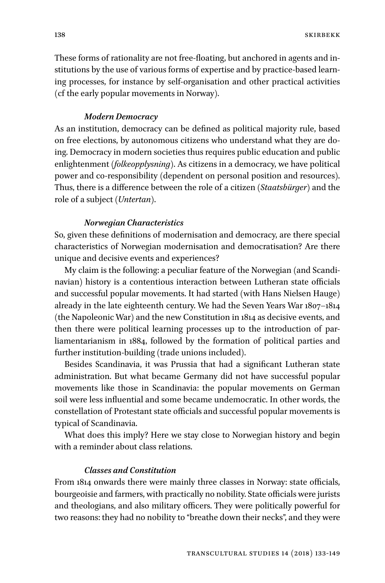These forms of rationality are not free-floating, but anchored in agents and institutions by the use of various forms of expertise and by practice-based learning processes, for instance by self-organisation and other practical activities (cf the early popular movements in Norway).

#### *Modern Democracy*

As an institution, democracy can be defined as political majority rule, based on free elections, by autonomous citizens who understand what they are doing. Democracy in modern societies thus requires public education and public enlightenment (*folkeopplysning*). As citizens in a democracy, we have political power and co-responsibility (dependent on personal position and resources). Thus, there is a difference between the role of a citizen (*Staatsbürger*) and the role of a subject (*Untertan*).

#### *Norwegian Characteristics*

So, given these definitions of modernisation and democracy, are there special characteristics of Norwegian modernisation and democratisation? Are there unique and decisive events and experiences?

My claim is the following: a peculiar feature of the Norwegian (and Scandinavian) history is a contentious interaction between Lutheran state officials and successful popular movements. It had started (with Hans Nielsen Hauge) already in the late eighteenth century. We had the Seven Years War 1807–1814 (the Napoleonic War) and the new Constitution in 1814 as decisive events, and then there were political learning processes up to the introduction of parliamentarianism in 1884, followed by the formation of political parties and further institution-building (trade unions included).

Besides Scandinavia, it was Prussia that had a significant Lutheran state administration. But what became Germany did not have successful popular movements like those in Scandinavia: the popular movements on German soil were less influential and some became undemocratic. In other words, the constellation of Protestant state officials and successful popular movements is typical of Scandinavia.

What does this imply? Here we stay close to Norwegian history and begin with a reminder about class relations.

## *Classes and Constitution*

From 1814 onwards there were mainly three classes in Norway: state officials, bourgeoisie and farmers, with practically no nobility. State officials were jurists and theologians, and also military officers. They were politically powerful for two reasons: they had no nobility to "breathe down their necks", and they were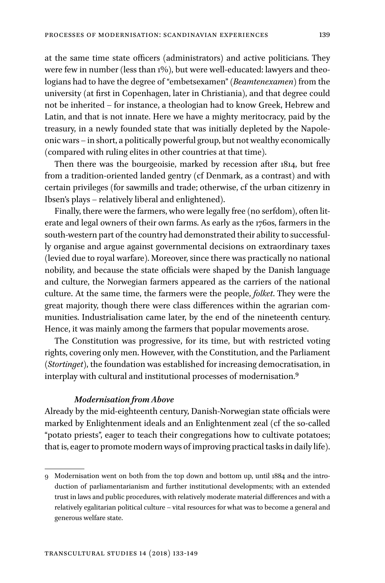at the same time state officers (administrators) and active politicians. They were few in number (less than 1%), but were well-educated: lawyers and theologians had to have the degree of "embetsexamen" (*Beamtenexamen*) from the university (at first in Copenhagen, later in Christiania), and that degree could not be inherited – for instance, a theologian had to know Greek, Hebrew and Latin, and that is not innate. Here we have a mighty meritocracy, paid by the treasury, in a newly founded state that was initially depleted by the Napoleonic wars – in short, a politically powerful group, but not wealthy economically (compared with ruling elites in other countries at that time).

Then there was the bourgeoisie, marked by recession after 1814, but free from a tradition-oriented landed gentry (cf Denmark, as a contrast) and with certain privileges (for sawmills and trade; otherwise, cf the urban citizenry in Ibsen's plays – relatively liberal and enlightened).

Finally, there were the farmers, who were legally free (no serfdom), often literate and legal owners of their own farms. As early as the 1760s, farmers in the south-western part of the country had demonstrated their ability to successfully organise and argue against governmental decisions on extraordinary taxes (levied due to royal warfare). Moreover, since there was practically no national nobility, and because the state officials were shaped by the Danish language and culture, the Norwegian farmers appeared as the carriers of the national culture. At the same time, the farmers were the people, *folket*. They were the great majority, though there were class differences within the agrarian communities. Industrialisation came later, by the end of the nineteenth century. Hence, it was mainly among the farmers that popular movements arose.

The Constitution was progressive, for its time, but with restricted voting rights, covering only men. However, with the Constitution, and the Parliament (*Stortinget*), the foundation was established for increasing democratisation, in interplay with cultural and institutional processes of modernisation[.9](#page-6-0)

## *Modernisation from Above*

Already by the mid-eighteenth century, Danish-Norwegian state officials were marked by Enlightenment ideals and an Enlightenment zeal (cf the so-called "potato priests", eager to teach their congregations how to cultivate potatoes; that is, eager to promote modern ways of improving practical tasks in daily life).

<span id="page-6-0"></span><sup>9</sup> Modernisation went on both from the top down and bottom up, until 1884 and the introduction of parliamentarianism and further institutional developments; with an extended trust in laws and public procedures, with relatively moderate material differences and with a relatively egalitarian political culture – vital resources for what was to become a general and generous welfare state.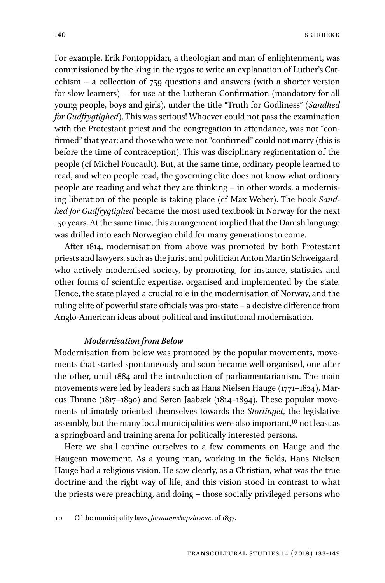For example, Erik Pontoppidan, a theologian and man of enlightenment, was commissioned by the king in the 1730s to write an explanation of Luther's Catechism – a collection of 759 questions and answers (with a shorter version for slow learners) – for use at the Lutheran Confirmation (mandatory for all young people, boys and girls), under the title "Truth for Godliness" (*Sandhed for Gudfrygtighed*). This was serious! Whoever could not pass the examination with the Protestant priest and the congregation in attendance, was not "confirmed" that year; and those who were not "confirmed" could not marry (this is before the time of contraception). This was disciplinary regimentation of the people (cf Michel Foucault). But, at the same time, ordinary people learned to read, and when people read, the governing elite does not know what ordinary people are reading and what they are thinking – in other words, a modernising liberation of the people is taking place (cf Max Weber). The book *Sandhed for Gudfrygtighed* became the most used textbook in Norway for the next 150 years. At the same time, this arrangement implied that the Danish language was drilled into each Norwegian child for many generations to come.

After 1814, modernisation from above was promoted by both Protestant priests and lawyers, such as the jurist and politician Anton Martin Schweigaard, who actively modernised society, by promoting, for instance, statistics and other forms of scientific expertise, organised and implemented by the state. Hence, the state played a crucial role in the modernisation of Norway, and the ruling elite of powerful state officials was pro-state – a decisive difference from Anglo-American ideas about political and institutional modernisation.

## *Modernisation from Below*

Modernisation from below was promoted by the popular movements, movements that started spontaneously and soon became well organised, one after the other, until 1884 and the introduction of parliamentarianism. The main movements were led by leaders such as Hans Nielsen Hauge (1771–1824), Marcus Thrane (1817–1890) and Søren Jaabæk (1814–1894). These popular movements ultimately oriented themselves towards the *Stortinget*, the legislative assembly, but the many local municipalities were also important,<sup>10</sup> not least as a springboard and training arena for politically interested persons.

Here we shall confine ourselves to a few comments on Hauge and the Haugean movement. As a young man, working in the fields, Hans Nielsen Hauge had a religious vision. He saw clearly, as a Christian, what was the true doctrine and the right way of life, and this vision stood in contrast to what the priests were preaching, and doing – those socially privileged persons who

<span id="page-7-0"></span><sup>10</sup> Cf the municipality laws, *formannskapslovene*, of 1837.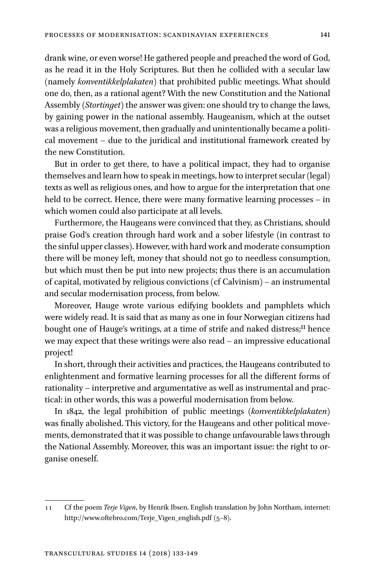drank wine, or even worse! He gathered people and preached the word of God, as he read it in the Holy Scriptures. But then he collided with a secular law (namely *konventikkelplakaten*) that prohibited public meetings. What should one do, then, as a rational agent? With the new Constitution and the National Assembly (*Stortinget*) the answer was given: one should try to change the laws, by gaining power in the national assembly. Haugeanism, which at the outset was a religious movement, then gradually and unintentionally became a political movement – due to the juridical and institutional framework created by the new Constitution.

But in order to get there, to have a political impact, they had to organise themselves and learn how to speak in meetings, how to interpret secular (legal) texts as well as religious ones, and how to argue for the interpretation that one held to be correct. Hence, there were many formative learning processes – in which women could also participate at all levels.

Furthermore, the Haugeans were convinced that they, as Christians, should praise God's creation through hard work and a sober lifestyle (in contrast to the sinful upper classes). However, with hard work and moderate consumption there will be money left, money that should not go to needless consumption, but which must then be put into new projects; thus there is an accumulation of capital, motivated by religious convictions (cf Calvinism) – an instrumental and secular modernisation process, from below.

Moreover, Hauge wrote various edifying booklets and pamphlets which were widely read. It is said that as many as one in four Norwegian citizens had bought one of Hauge's writings, at a time of strife and naked distress;<sup>11</sup> hence we may expect that these writings were also read – an impressive educational project!

In short, through their activities and practices, the Haugeans contributed to enlightenment and formative learning processes for all the different forms of rationality – interpretive and argumentative as well as instrumental and practical: in other words, this was a powerful modernisation from below.

In 1842, the legal prohibition of public meetings (*konventikkelplakaten*) was finally abolished. This victory, for the Haugeans and other political movements, demonstrated that it was possible to change unfavourable laws through the National Assembly. Moreover, this was an important issue: the right to organise oneself.

<span id="page-8-0"></span><sup>11</sup> Cf the poem *Terje Vigen*, by Henrik Ibsen. English translation by John Northam, internet: [http://www.oftebro.com/Terje\\_Vigen\\_english.pdf](http://www.oftebro.com/Terje_Vigen_english.pdf) (5–8).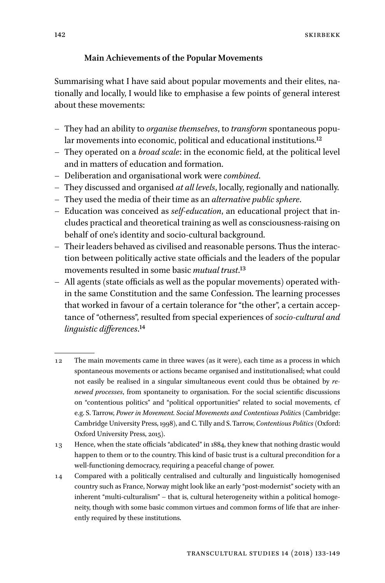## **Main Achievements of the Popular Movements**

Summarising what I have said about popular movements and their elites, nationally and locally, I would like to emphasise a few points of general interest about these movements:

- They had an ability to *organise themselves*, to *transform* spontaneous popular movements into economic, political and educational institutions.<sup>12</sup>
- They operated on a *broad scale*: in the economic field, at the political level and in matters of education and formation.
- Deliberation and organisational work were *combined*.
- They discussed and organised *at all levels*, locally, regionally and nationally.
- They used the media of their time as an *alternative public sphere*.
- Education was conceived as *self-education*, an educational project that includes practical and theoretical training as well as consciousness-raising on behalf of one's identity and socio-cultural background.
- Their leaders behaved as civilised and reasonable persons. Thus the interaction between politically active state officials and the leaders of the popular movements resulted in some basic *mutual trust*[.13](#page-9-1)
- All agents (state officials as well as the popular movements) operated within the same Constitution and the same Confession. The learning processes that worked in favour of a certain tolerance for "the other", a certain acceptance of "otherness", resulted from special experiences of *socio-cultural and linguistic differences*[.14](#page-9-2)
- <span id="page-9-0"></span>12 The main movements came in three waves (as it were), each time as a process in which spontaneous movements or actions became organised and institutionalised; what could not easily be realised in a singular simultaneous event could thus be obtained by *renewed processes*, from spontaneity to organisation. For the social scientific discussions on "contentious politics" and "political opportunities" related to social movements, cf e.g. S. Tarrow, *Power in Movement. Social Movements and Contentious Politic*s (Cambridge: Cambridge University Press, 1998), and C. Tilly and S. Tarrow, *Contentious Politics* (Oxford: Oxford University Press, 2015).
- <span id="page-9-1"></span>13 Hence, when the state officials "abdicated" in 1884, they knew that nothing drastic would happen to them or to the country. This kind of basic trust is a cultural precondition for a well-functioning democracy, requiring a peaceful change of power.
- <span id="page-9-2"></span>14 Compared with a politically centralised and culturally and linguistically homogenised country such as France, Norway might look like an early "post-modernist" society with an inherent "multi-culturalism" – that is, cultural heterogeneity within a political homogeneity, though with some basic common virtues and common forms of life that are inherently required by these institutions.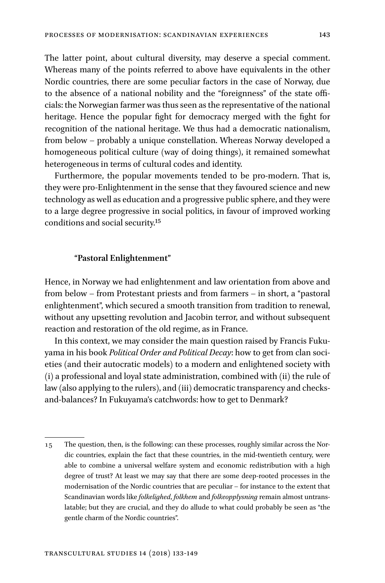The latter point, about cultural diversity, may deserve a special comment. Whereas many of the points referred to above have equivalents in the other Nordic countries, there are some peculiar factors in the case of Norway, due to the absence of a national nobility and the "foreignness" of the state officials: the Norwegian farmer was thus seen as the representative of the national heritage. Hence the popular fight for democracy merged with the fight for recognition of the national heritage. We thus had a democratic nationalism, from below – probably a unique constellation. Whereas Norway developed a homogeneous political culture (way of doing things), it remained somewhat heterogeneous in terms of cultural codes and identity.

Furthermore, the popular movements tended to be pro-modern. That is, they were pro-Enlightenment in the sense that they favoured science and new technology as well as education and a progressive public sphere, and they were to a large degree progressive in social politics, in favour of improved working conditions and social security[.15](#page-10-0)

## **"Pastoral Enlightenment"**

Hence, in Norway we had enlightenment and law orientation from above and from below – from Protestant priests and from farmers – in short, a "pastoral enlightenment", which secured a smooth transition from tradition to renewal, without any upsetting revolution and Jacobin terror, and without subsequent reaction and restoration of the old regime, as in France.

In this context, we may consider the main question raised by Francis Fukuyama in his book *Political Order and Political Decay*: how to get from clan societies (and their autocratic models) to a modern and enlightened society with (i) a professional and loyal state administration, combined with (ii) the rule of law (also applying to the rulers), and (iii) democratic transparency and checksand-balances? In Fukuyama's catchwords: how to get to Denmark?

<span id="page-10-0"></span><sup>15</sup> The question, then, is the following: can these processes, roughly similar across the Nordic countries, explain the fact that these countries, in the mid-twentieth century, were able to combine a universal welfare system and economic redistribution with a high degree of trust? At least we may say that there are some deep-rooted processes in the modernisation of the Nordic countries that are peculiar – for instance to the extent that Scandinavian words like *folkelighed*, *folkhem* and *folkeopplysning* remain almost untranslatable; but they are crucial, and they do allude to what could probably be seen as "the gentle charm of the Nordic countries".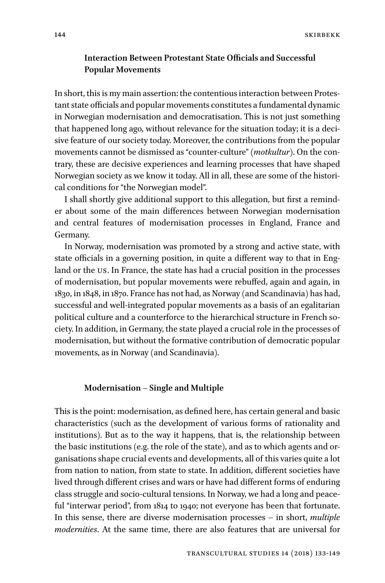# **Interaction Between Protestant State Officials and Successful Popular Movements**

In short, this is my main assertion: the contentious interaction between Protestant state officials and popular movements constitutes a fundamental dynamic in Norwegian modernisation and democratisation. This is not just something that happened long ago, without relevance for the situation today; it is a decisive feature of our society today. Moreover, the contributions from the popular movements cannot be dismissed as "counter-culture" (*motkultur*). On the contrary, these are decisive experiences and learning processes that have shaped Norwegian society as we know it today. All in all, these are some of the historical conditions for "the Norwegian model".

I shall shortly give additional support to this allegation, but first a reminder about some of the main differences between Norwegian modernisation and central features of modernisation processes in England, France and Germany.

In Norway, modernisation was promoted by a strong and active state, with state officials in a governing position, in quite a different way to that in England or the us. In France, the state has had a crucial position in the processes of modernisation, but popular movements were rebuffed, again and again, in 1830, in 1848, in 1870. France has not had, as Norway (and Scandinavia) has had, successful and well-integrated popular movements as a basis of an egalitarian political culture and a counterforce to the hierarchical structure in French society. In addition, in Germany, the state played a crucial role in the processes of modernisation, but without the formative contribution of democratic popular movements, as in Norway (and Scandinavia).

#### **Modernisation – Single and Multiple**

This is the point: modernisation, as defined here, has certain general and basic characteristics (such as the development of various forms of rationality and institutions). But as to the way it happens, that is, the relationship between the basic institutions (e.g. the role of the state), and as to which agents and organisations shape crucial events and developments, all of this varies quite a lot from nation to nation, from state to state. In addition, different societies have lived through different crises and wars or have had different forms of enduring class struggle and socio-cultural tensions. In Norway, we had a long and peaceful "interwar period", from 1814 to 1940; not everyone has been that fortunate. In this sense, there are diverse modernisation processes – in short, *multiple modernities*. At the same time, there are also features that are universal for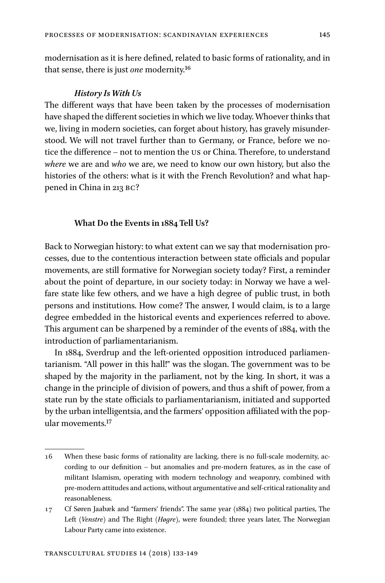modernisation as it is here defined, related to basic forms of rationality, and in that sense, there is just *one* modernity[.16](#page-12-0)

## *History Is With Us*

The different ways that have been taken by the processes of modernisation have shaped the different societies in which we live today. Whoever thinks that we, living in modern societies, can forget about history, has gravely misunderstood. We will not travel further than to Germany, or France, before we notice the difference – not to mention the us or China. Therefore, to understand *where* we are and *who* we are, we need to know our own history, but also the histories of the others: what is it with the French Revolution? and what happened in China in 213 bc?

## **What Do the Events in 1884 Tell Us?**

Back to Norwegian history: to what extent can we say that modernisation processes, due to the contentious interaction between state officials and popular movements, are still formative for Norwegian society today? First, a reminder about the point of departure, in our society today: in Norway we have a welfare state like few others, and we have a high degree of public trust, in both persons and institutions. How come? The answer, I would claim, is to a large degree embedded in the historical events and experiences referred to above. This argument can be sharpened by a reminder of the events of 1884, with the introduction of parliamentarianism.

In 1884, Sverdrup and the left-oriented opposition introduced parliamentarianism. "All power in this hall!" was the slogan. The government was to be shaped by the majority in the parliament, not by the king. In short, it was a change in the principle of division of powers, and thus a shift of power, from a state run by the state officials to parliamentarianism, initiated and supported by the urban intelligentsia, and the farmers' opposition affiliated with the popular movements[.17](#page-12-1)

<span id="page-12-0"></span><sup>16</sup> When these basic forms of rationality are lacking, there is no full-scale modernity, according to our definition – but anomalies and pre-modern features, as in the case of militant Islamism, operating with modern technology and weaponry, combined with pre-modern attitudes and actions, without argumentative and self-critical rationality and reasonableness.

<span id="page-12-1"></span><sup>17</sup> Cf Søren Jaabæk and "farmers' friends". The same year (1884) two political parties, The Left (*Venstre*) and The Right (*Høgre*), were founded; three years later, The Norwegian Labour Party came into existence.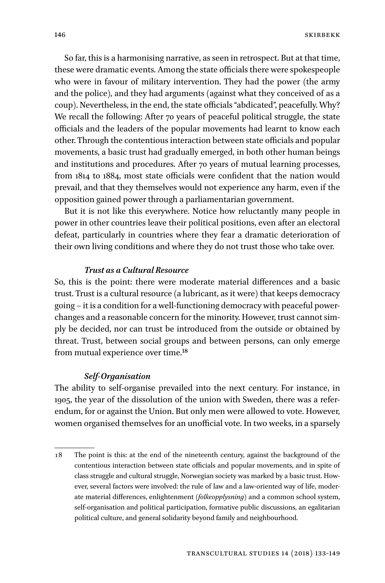So far, this is a harmonising narrative, as seen in retrospect. But at that time, these were dramatic events. Among the state officials there were spokespeople who were in favour of military intervention. They had the power (the army and the police), and they had arguments (against what they conceived of as a coup). Nevertheless, in the end, the state officials "abdicated", peacefully. Why? We recall the following: After 70 years of peaceful political struggle, the state officials and the leaders of the popular movements had learnt to know each other. Through the contentious interaction between state officials and popular movements, a basic trust had gradually emerged, in both other human beings and institutions and procedures. After 70 years of mutual learning processes, from 1814 to 1884, most state officials were confident that the nation would prevail, and that they themselves would not experience any harm, even if the opposition gained power through a parliamentarian government.

But it is not like this everywhere. Notice how reluctantly many people in power in other countries leave their political positions, even after an electoral defeat, particularly in countries where they fear a dramatic deterioration of their own living conditions and where they do not trust those who take over.

## *Trust as a Cultural Resource*

So, this is the point: there were moderate material differences and a basic trust. Trust is a cultural resource (a lubricant, as it were) that keeps democracy going – it is a condition for a well-functioning democracy with peaceful powerchanges and a reasonable concern for the minority. However, trust cannot simply be decided, nor can trust be introduced from the outside or obtained by threat. Trust, between social groups and between persons, can only emerge from mutual experience over time.[18](#page-13-0)

## *Self-Organisation*

The ability to self-organise prevailed into the next century. For instance, in 1905, the year of the dissolution of the union with Sweden, there was a referendum, for or against the Union. But only men were allowed to vote. However, women organised themselves for an unofficial vote. In two weeks, in a sparsely

<span id="page-13-0"></span><sup>18</sup> The point is this: at the end of the nineteenth century, against the background of the contentious interaction between state officials and popular movements, and in spite of class struggle and cultural struggle, Norwegian society was marked by a basic trust. However, several factors were involved: the rule of law and a law-oriented way of life, moderate material differences, enlightenment (*folkeopplysning*) and a common school system, self-organisation and political participation, formative public discussions, an egalitarian political culture, and general solidarity beyond family and neighbourhood.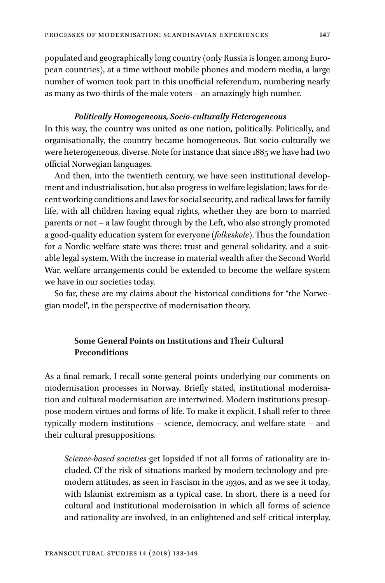populated and geographically long country (only Russia is longer, among European countries), at a time without mobile phones and modern media, a large number of women took part in this unofficial referendum, numbering nearly as many as two-thirds of the male voters – an amazingly high number.

#### *Politically Homogeneous, Socio-culturally Heterogeneous*

In this way, the country was united as one nation, politically. Politically, and organisationally, the country became homogeneous. But socio-culturally we were heterogeneous, diverse. Note for instance that since 1885 we have had two official Norwegian languages.

And then, into the twentieth century, we have seen institutional development and industrialisation, but also progress in welfare legislation; laws for decent working conditions and laws for social security, and radical laws for family life, with all children having equal rights, whether they are born to married parents or not – a law fought through by the Left, who also strongly promoted a good-quality education system for everyone (*folkeskole*). Thus the foundation for a Nordic welfare state was there: trust and general solidarity, and a suitable legal system. With the increase in material wealth after the Second World War, welfare arrangements could be extended to become the welfare system we have in our societies today.

So far, these are my claims about the historical conditions for "the Norwegian model", in the perspective of modernisation theory.

# **Some General Points on Institutions and Their Cultural Preconditions**

As a final remark, I recall some general points underlying our comments on modernisation processes in Norway. Briefly stated, institutional modernisation and cultural modernisation are intertwined. Modern institutions presuppose modern virtues and forms of life. To make it explicit, I shall refer to three typically modern institutions – science, democracy, and welfare state – and their cultural presuppositions.

*Science-based societies* get lopsided if not all forms of rationality are included. Cf the risk of situations marked by modern technology and premodern attitudes, as seen in Fascism in the 1930s, and as we see it today, with Islamist extremism as a typical case. In short, there is a need for cultural and institutional modernisation in which all forms of science and rationality are involved, in an enlightened and self-critical interplay,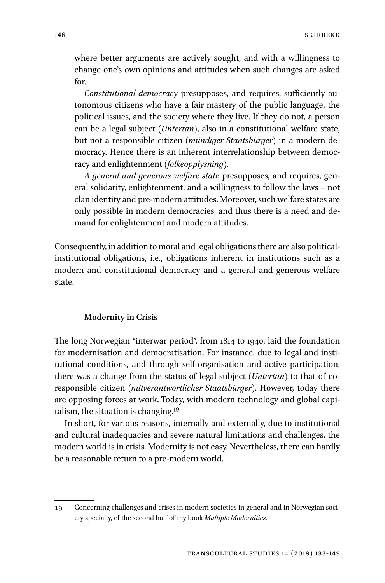where better arguments are actively sought, and with a willingness to change one's own opinions and attitudes when such changes are asked for.

*Constitutional democracy* presupposes, and requires, sufficiently autonomous citizens who have a fair mastery of the public language, the political issues, and the society where they live. If they do not, a person can be a legal subject (*Untertan*), also in a constitutional welfare state, but not a responsible citizen (*mündiger Staatsbürger*) in a modern democracy. Hence there is an inherent interrelationship between democracy and enlightenment (*folkeopplysning*).

*A general and generous welfare state* presupposes, and requires, general solidarity, enlightenment, and a willingness to follow the laws – not clan identity and pre-modern attitudes. Moreover, such welfare states are only possible in modern democracies, and thus there is a need and demand for enlightenment and modern attitudes.

Consequently, in addition to moral and legal obligations there are also politicalinstitutional obligations, i.e., obligations inherent in institutions such as a modern and constitutional democracy and a general and generous welfare state.

## **Modernity in Crisis**

The long Norwegian "interwar period", from 1814 to 1940, laid the foundation for modernisation and democratisation. For instance, due to legal and institutional conditions, and through self-organisation and active participation, there was a change from the status of legal subject (*Untertan*) to that of coresponsible citizen (*mitverantwortlicher Staatsbürger*). However, today there are opposing forces at work. Today, with modern technology and global capitalism, the situation is changing[.19](#page-15-0)

In short, for various reasons, internally and externally, due to institutional and cultural inadequacies and severe natural limitations and challenges, the modern world is in crisis. Modernity is not easy. Nevertheless, there can hardly be a reasonable return to a pre-modern world.

<span id="page-15-0"></span><sup>19</sup> Concerning challenges and crises in modern societies in general and in Norwegian society specially, cf the second half of my book *Multiple Modernities.*